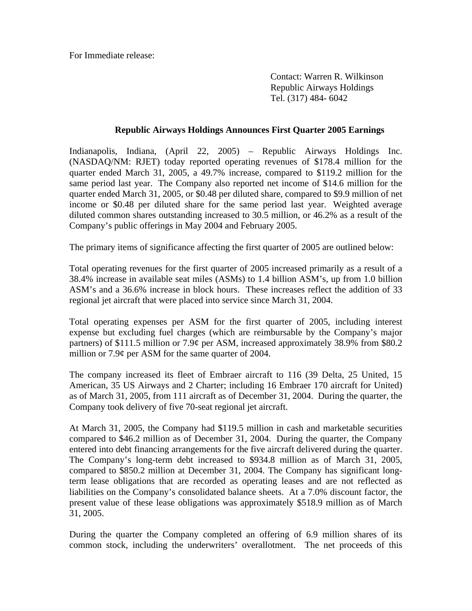For Immediate release:

 Contact: Warren R. Wilkinson Republic Airways Holdings Tel. (317) 484- 6042

## **Republic Airways Holdings Announces First Quarter 2005 Earnings**

Indianapolis, Indiana, (April 22, 2005) – Republic Airways Holdings Inc. (NASDAQ/NM: RJET) today reported operating revenues of \$178.4 million for the quarter ended March 31, 2005, a 49.7% increase, compared to \$119.2 million for the same period last year. The Company also reported net income of \$14.6 million for the quarter ended March 31, 2005, or \$0.48 per diluted share, compared to \$9.9 million of net income or \$0.48 per diluted share for the same period last year. Weighted average diluted common shares outstanding increased to 30.5 million, or 46.2% as a result of the Company's public offerings in May 2004 and February 2005.

The primary items of significance affecting the first quarter of 2005 are outlined below:

Total operating revenues for the first quarter of 2005 increased primarily as a result of a 38.4% increase in available seat miles (ASMs) to 1.4 billion ASM's, up from 1.0 billion ASM's and a 36.6% increase in block hours. These increases reflect the addition of 33 regional jet aircraft that were placed into service since March 31, 2004.

Total operating expenses per ASM for the first quarter of 2005, including interest expense but excluding fuel charges (which are reimbursable by the Company's major partners) of \$111.5 million or 7.9¢ per ASM, increased approximately 38.9% from \$80.2 million or 7.9¢ per ASM for the same quarter of 2004.

The company increased its fleet of Embraer aircraft to 116 (39 Delta, 25 United, 15 American, 35 US Airways and 2 Charter; including 16 Embraer 170 aircraft for United) as of March 31, 2005, from 111 aircraft as of December 31, 2004. During the quarter, the Company took delivery of five 70-seat regional jet aircraft.

At March 31, 2005, the Company had \$119.5 million in cash and marketable securities compared to \$46.2 million as of December 31, 2004. During the quarter, the Company entered into debt financing arrangements for the five aircraft delivered during the quarter. The Company's long-term debt increased to \$934.8 million as of March 31, 2005, compared to \$850.2 million at December 31, 2004. The Company has significant longterm lease obligations that are recorded as operating leases and are not reflected as liabilities on the Company's consolidated balance sheets. At a 7.0% discount factor, the present value of these lease obligations was approximately \$518.9 million as of March 31, 2005.

During the quarter the Company completed an offering of 6.9 million shares of its common stock, including the underwriters' overallotment. The net proceeds of this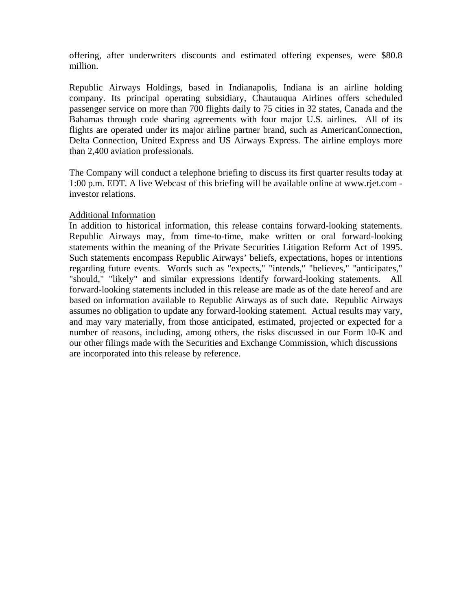offering, after underwriters discounts and estimated offering expenses, were \$80.8 million.

Republic Airways Holdings, based in Indianapolis, Indiana is an airline holding company. Its principal operating subsidiary, Chautauqua Airlines offers scheduled passenger service on more than 700 flights daily to 75 cities in 32 states, Canada and the Bahamas through code sharing agreements with four major U.S. airlines. All of its flights are operated under its major airline partner brand, such as AmericanConnection, Delta Connection, United Express and US Airways Express. The airline employs more than 2,400 aviation professionals.

The Company will conduct a telephone briefing to discuss its first quarter results today at 1:00 p.m. EDT. A live Webcast of this briefing will be available online at www.rjet.com investor relations.

## Additional Information

In addition to historical information, this release contains forward-looking statements. Republic Airways may, from time-to-time, make written or oral forward-looking statements within the meaning of the Private Securities Litigation Reform Act of 1995. Such statements encompass Republic Airways' beliefs, expectations, hopes or intentions regarding future events. Words such as "expects," "intends," "believes," "anticipates," "should," "likely" and similar expressions identify forward-looking statements. All forward-looking statements included in this release are made as of the date hereof and are based on information available to Republic Airways as of such date. Republic Airways assumes no obligation to update any forward-looking statement. Actual results may vary, and may vary materially, from those anticipated, estimated, projected or expected for a number of reasons, including, among others, the risks discussed in our Form 10-K and our other filings made with the Securities and Exchange Commission, which discussions are incorporated into this release by reference.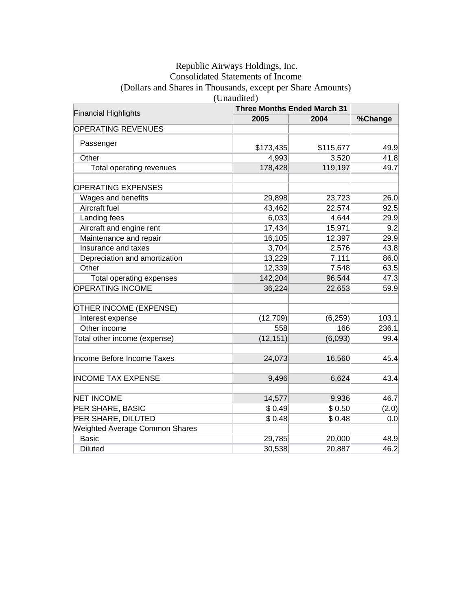## Republic Airways Holdings, Inc. Consolidated Statements of Income (Dollars and Shares in Thousands, except per Share Amounts) (Unaudited)

| <b>Financial Highlights</b>           | <b>Three Months Ended March 31</b> |           |         |
|---------------------------------------|------------------------------------|-----------|---------|
|                                       | 2005                               | 2004      | %Change |
| <b>OPERATING REVENUES</b>             |                                    |           |         |
| Passenger                             | \$173,435                          | \$115,677 | 49.9    |
| Other                                 | 4,993                              | 3,520     | 41.8    |
| Total operating revenues              | 178,428                            | 119,197   | 49.7    |
| <b>OPERATING EXPENSES</b>             |                                    |           |         |
| Wages and benefits                    | 29,898                             | 23,723    | 26.0    |
| <b>Aircraft fuel</b>                  | 43,462                             | 22,574    | 92.5    |
| Landing fees                          | 6,033                              | 4,644     | 29.9    |
| Aircraft and engine rent              | 17,434                             | 15,971    | 9.2     |
| Maintenance and repair                | 16,105                             | 12,397    | 29.9    |
| Insurance and taxes                   | 3,704                              | 2,576     | 43.8    |
| Depreciation and amortization         | 13,229                             | 7,111     | 86.0    |
| Other                                 | 12,339                             | 7,548     | 63.5    |
| Total operating expenses              | 142,204                            | 96,544    | 47.3    |
| <b>OPERATING INCOME</b>               | 36,224                             | 22,653    | 59.9    |
| OTHER INCOME (EXPENSE)                |                                    |           |         |
| Interest expense                      | (12, 709)                          | (6, 259)  | 103.1   |
| Other income                          | 558                                | 166       | 236.1   |
| Total other income (expense)          | (12, 151)                          | (6,093)   | 99.4    |
| Income Before Income Taxes            | 24,073                             | 16,560    | 45.4    |
| <b>INCOME TAX EXPENSE</b>             | 9,496                              | 6,624     | 43.4    |
| <b>NET INCOME</b>                     | 14,577                             | 9,936     | 46.7    |
| PER SHARE, BASIC                      | \$0.49                             | \$0.50    | (2.0)   |
| PER SHARE, DILUTED                    | \$0.48                             | \$0.48    | 0.0     |
| <b>Weighted Average Common Shares</b> |                                    |           |         |
| <b>Basic</b>                          | 29,785                             | 20,000    | 48.9    |
| <b>Diluted</b>                        | 30,538                             | 20,887    | 46.2    |